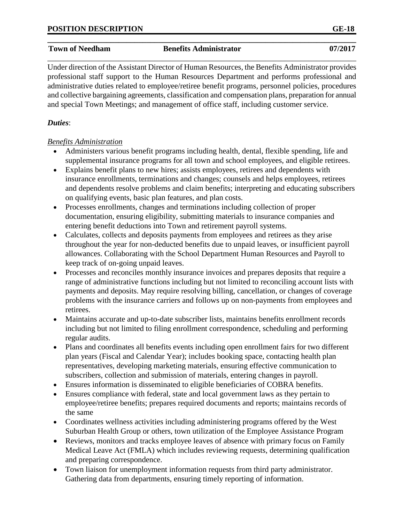### **\_\_\_\_\_\_\_\_\_\_\_\_\_\_\_\_\_\_\_\_\_\_\_\_\_\_\_\_\_\_\_\_\_\_\_\_\_\_\_\_\_\_\_\_\_\_\_\_\_\_\_\_\_\_\_\_\_\_\_\_\_\_\_\_\_\_\_\_\_\_\_\_\_\_\_\_\_\_ Town of Needham Benefits Administrator 07/2017** \_\_\_\_\_\_\_\_\_\_\_\_\_\_\_\_\_\_\_\_\_\_\_\_\_\_\_\_\_\_\_\_\_\_\_\_\_\_\_\_\_\_\_\_\_\_\_\_\_\_\_\_\_\_\_\_\_\_\_\_\_\_\_\_\_\_\_\_\_\_\_\_\_\_\_\_\_\_

Under direction of the Assistant Director of Human Resources, the Benefits Administrator provides professional staff support to the Human Resources Department and performs professional and administrative duties related to employee/retiree benefit programs, personnel policies, procedures and collective bargaining agreements, classification and compensation plans, preparation for annual and special Town Meetings; and management of office staff, including customer service.

# *Duties*:

# *Benefits Administration*

- Administers various benefit programs including health, dental, flexible spending, life and supplemental insurance programs for all town and school employees, and eligible retirees.
- Explains benefit plans to new hires; assists employees, retirees and dependents with insurance enrollments, terminations and changes; counsels and helps employees, retirees and dependents resolve problems and claim benefits; interpreting and educating subscribers on qualifying events, basic plan features, and plan costs.
- Processes enrollments, changes and terminations including collection of proper documentation, ensuring eligibility, submitting materials to insurance companies and entering benefit deductions into Town and retirement payroll systems.
- Calculates, collects and deposits payments from employees and retirees as they arise throughout the year for non-deducted benefits due to unpaid leaves, or insufficient payroll allowances. Collaborating with the School Department Human Resources and Payroll to keep track of on‐going unpaid leaves.
- Processes and reconciles monthly insurance invoices and prepares deposits that require a range of administrative functions including but not limited to reconciling account lists with payments and deposits. May require resolving billing, cancellation, or changes of coverage problems with the insurance carriers and follows up on non-payments from employees and retirees.
- Maintains accurate and up-to-date subscriber lists, maintains benefits enrollment records including but not limited to filing enrollment correspondence, scheduling and performing regular audits.
- Plans and coordinates all benefits events including open enrollment fairs for two different plan years (Fiscal and Calendar Year); includes booking space, contacting health plan representatives, developing marketing materials, ensuring effective communication to subscribers, collection and submission of materials, entering changes in payroll.
- Ensures information is disseminated to eligible beneficiaries of COBRA benefits.
- Ensures compliance with federal, state and local government laws as they pertain to employee/retiree benefits; prepares required documents and reports; maintains records of the same
- Coordinates wellness activities including administering programs offered by the West Suburban Health Group or others, town utilization of the Employee Assistance Program
- Reviews, monitors and tracks employee leaves of absence with primary focus on Family Medical Leave Act (FMLA) which includes reviewing requests, determining qualification and preparing correspondence.
- Town liaison for unemployment information requests from third party administrator. Gathering data from departments, ensuring timely reporting of information.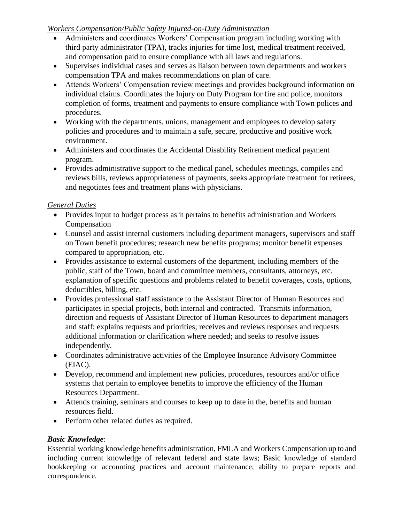## *Workers Compensation/Public Safety Injured-on-Duty Administration*

- Administers and coordinates Workers' Compensation program including working with third party administrator (TPA), tracks injuries for time lost, medical treatment received, and compensation paid to ensure compliance with all laws and regulations.
- Supervises individual cases and serves as liaison between town departments and workers compensation TPA and makes recommendations on plan of care.
- Attends Workers' Compensation review meetings and provides background information on individual claims. Coordinates the Injury on Duty Program for fire and police, monitors completion of forms, treatment and payments to ensure compliance with Town polices and procedures.
- Working with the departments, unions, management and employees to develop safety policies and procedures and to maintain a safe, secure, productive and positive work environment.
- Administers and coordinates the Accidental Disability Retirement medical payment program.
- Provides administrative support to the medical panel, schedules meetings, compiles and reviews bills, reviews appropriateness of payments, seeks appropriate treatment for retirees, and negotiates fees and treatment plans with physicians.

# *General Duties*

- Provides input to budget process as it pertains to benefits administration and Workers Compensation
- Counsel and assist internal customers including department managers, supervisors and staff on Town benefit procedures; research new benefits programs; monitor benefit expenses compared to appropriation, etc.
- Provides assistance to external customers of the department, including members of the public, staff of the Town, board and committee members, consultants, attorneys, etc. explanation of specific questions and problems related to benefit coverages, costs, options, deductibles, billing, etc.
- Provides professional staff assistance to the Assistant Director of Human Resources and participates in special projects, both internal and contracted. Transmits information, direction and requests of Assistant Director of Human Resources to department managers and staff; explains requests and priorities; receives and reviews responses and requests additional information or clarification where needed; and seeks to resolve issues independently.
- Coordinates administrative activities of the Employee Insurance Advisory Committee (EIAC).
- Develop, recommend and implement new policies, procedures, resources and/or office systems that pertain to employee benefits to improve the efficiency of the Human Resources Department.
- Attends training, seminars and courses to keep up to date in the, benefits and human resources field.
- Perform other related duties as required.

# *Basic Knowledge*:

Essential working knowledge benefits administration, FMLA and Workers Compensation up to and including current knowledge of relevant federal and state laws; Basic knowledge of standard bookkeeping or accounting practices and account maintenance; ability to prepare reports and correspondence.